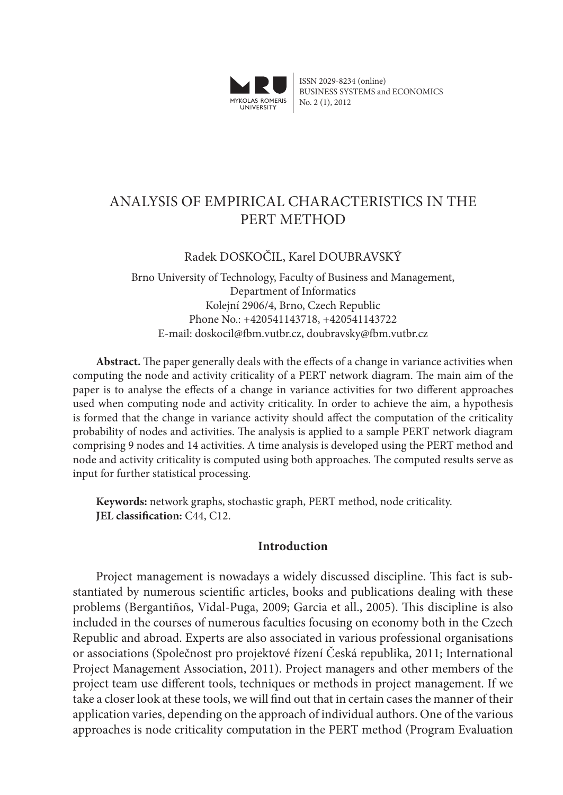

ISSN 2029-8234 (online) BUSINESS SYSTEMS and ECONOMICS No. 2 (1), 2012

# Analysis of Empirical Characteristics in the PERT METHOD

## Radek DOSKOČIL, Karel DOUBRAVSKÝ

Brno University of Technology, Faculty of Business and Management, Department of Informatics Kolejní 2906/4, Brno, Czech Republic Phone No.: +420541143718, +420541143722 E-mail: doskocil@fbm.vutbr.cz, doubravsky@fbm.vutbr.cz

**Abstract.** The paper generally deals with the effects of a change in variance activities when computing the node and activity criticality of a PERT network diagram. The main aim of the paper is to analyse the effects of a change in variance activities for two different approaches used when computing node and activity criticality. In order to achieve the aim, a hypothesis is formed that the change in variance activity should affect the computation of the criticality probability of nodes and activities. The analysis is applied to a sample PERT network diagram comprising 9 nodes and 14 activities. A time analysis is developed using the PERT method and node and activity criticality is computed using both approaches. The computed results serve as input for further statistical processing.

**Keywords:** network graphs, stochastic graph, PERT method, node criticality. **JEL classification:** C44, C12.

## **Introduction**

Project management is nowadays a widely discussed discipline. This fact is substantiated by numerous scientific articles, books and publications dealing with these problems (Bergantiños, Vidal-Puga, 2009; Garcia et all., 2005). This discipline is also included in the courses of numerous faculties focusing on economy both in the Czech Republic and abroad. Experts are also associated in various professional organisations or associations (Společnost pro projektové řízení Česká republika, 2011; International Project Management Association, 2011). Project managers and other members of the project team use different tools, techniques or methods in project management. If we take a closer look at these tools, we will find out that in certain cases the manner of their application varies, depending on the approach of individual authors. One of the various approaches is node criticality computation in the PERT method (Program Evaluation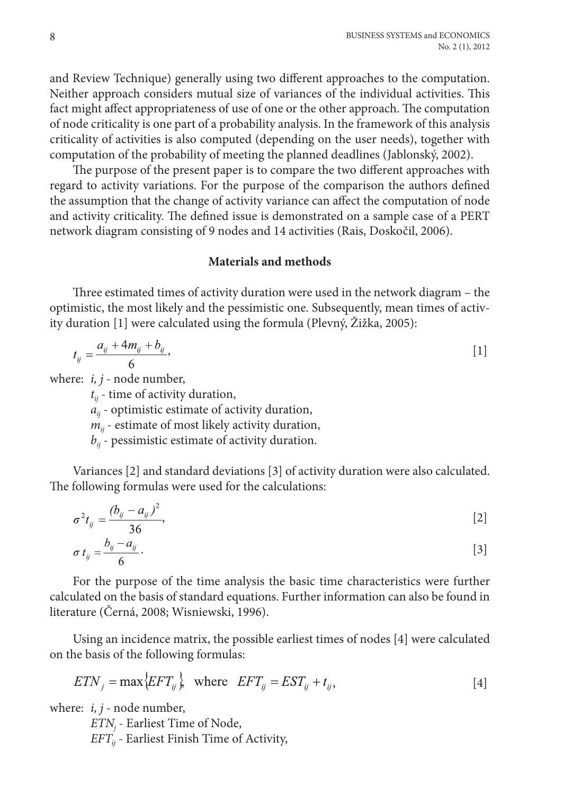and Review Technique) generally using two different approaches to the computation. Neither approach considers mutual size of variances of the individual activities. This fact might affect appropriateness of use of one or the other approach. The computation of node criticality is one part of a probability analysis. In the framework of this analysis criticality of activities is also computed (depending on the user needs), together with computation of the probability of meeting the planned deadlines (Jablonský, 2002).

The purpose of the present paper is to compare the two different approaches with regard to activity variations. For the purpose of the comparison the authors defined the assumption that the change of activity variance can affect the computation of node and activity criticality. The defined issue is demonstrated on a sample case of a PERT network diagram consisting of 9 nodes and 14 activities (Rais, Doskočil, 2006).

## **Materials and methods**

Three estimated times of activity duration were used in the network diagram – the optimistic, the most likely and the pessimistic one. Subsequently, mean times of activity duration [1] were calculated using the formula (Plevný, Žižka, 2005):

$$
t_{ij} = \frac{a_{ij} + 4m_{ij} + b_{ij}}{6},
$$
 [1]

where: *i, j -* node number,

*tij* - time of activity duration,

*aij* - optimistic estimate of activity duration,

 $m_{ij}$  - estimate of most likely activity duration,

 $b_{ij}$  - pessimistic estimate of activity duration.

Variances [2] and standard deviations [3] of activity duration were also calculated. The following formulas were used for the calculations:

$$
\sigma^2 t_{ij} = \frac{(b_{ij} - a_{ij})^2}{36},
$$
 [2]

$$
\sigma t_{ij} = \frac{b_{ij} - a_{ij}}{6} \tag{3}
$$

For the purpose of the time analysis the basic time characteristics were further calculated on the basis of standard equations. Further information can also be found in literature (Černá, 2008; Wisniewski, 1996).

Using an incidence matrix, the possible earliest times of nodes [4] were calculated on the basis of the following formulas:

$$
ETN_j = \max\{EFT_{ij}\}, \quad \text{where} \quad EFT_{ij} = EST_{ij} + t_{ij}, \tag{4}
$$

where: *i, j -* node number,

*ETNj* - Earliest Time of Node, *EFTij* - Earliest Finish Time of Activity,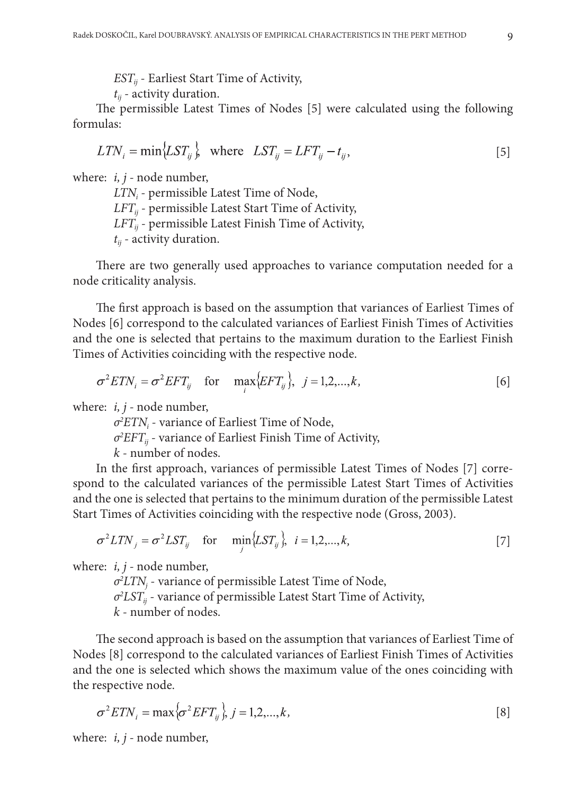*ESTij* - Earliest Start Time of Activity,

*tij* - activity duration.

The permissible Latest Times of Nodes [5] were calculated using the following formulas:

$$
LTN_i = \min\{LST_{ij}\}, \quad \text{where} \quad LST_{ij} = LFT_{ij} - t_{ij}, \tag{5}
$$

where: *i, j -* node number,

*LTNi* - permissible Latest Time of Node,  $LFT_{ii}$  - permissible Latest Start Time of Activity,  $LFT_{ii}$  - permissible Latest Finish Time of Activity,  $t_{ii}$  - activity duration.

There are two generally used approaches to variance computation needed for a node criticality analysis.

The first approach is based on the assumption that variances of Earliest Times of Nodes [6] correspond to the calculated variances of Earliest Finish Times of Activities and the one is selected that pertains to the maximum duration to the Earliest Finish Times of Activities coinciding with the respective node.

$$
\sigma^2 ETN_i = \sigma^2 EFT_{ij} \quad \text{for} \quad \max_i \{ EFT_{ij} \}, \ \ j = 1, 2, \dots, k,
$$

where: *i, j -* node number,

*σ2 ETNi* - variance of Earliest Time of Node,

*σ2 EFTij* - variance of Earliest Finish Time of Activity,

*k* - number of nodes.

In the first approach, variances of permissible Latest Times of Nodes [7] correspond to the calculated variances of the permissible Latest Start Times of Activities and the one is selected that pertains to the minimum duration of the permissible Latest Start Times of Activities coinciding with the respective node (Gross, 2003).

$$
\sigma^2 LTN_j = \sigma^2 LST_{ij} \quad \text{for} \quad \min_j \{LST_{ij}\}, \quad i = 1, 2, \dots, k,
$$

where: *i, j -* node number,

*σ2 LTNj* - variance of permissible Latest Time of Node, *σ2 LSTij* - variance of permissible Latest Start Time of Activity, *k* - number of nodes.

The second approach is based on the assumption that variances of Earliest Time of Nodes [8] correspond to the calculated variances of Earliest Finish Times of Activities and the one is selected which shows the maximum value of the ones coinciding with the respective node.

$$
\sigma^2 ETN_i = \max\{\sigma^2 EFT_{ij}\}, j = 1, 2, \dots, k,
$$
\n
$$
\tag{8}
$$

where: *i, j -* node number,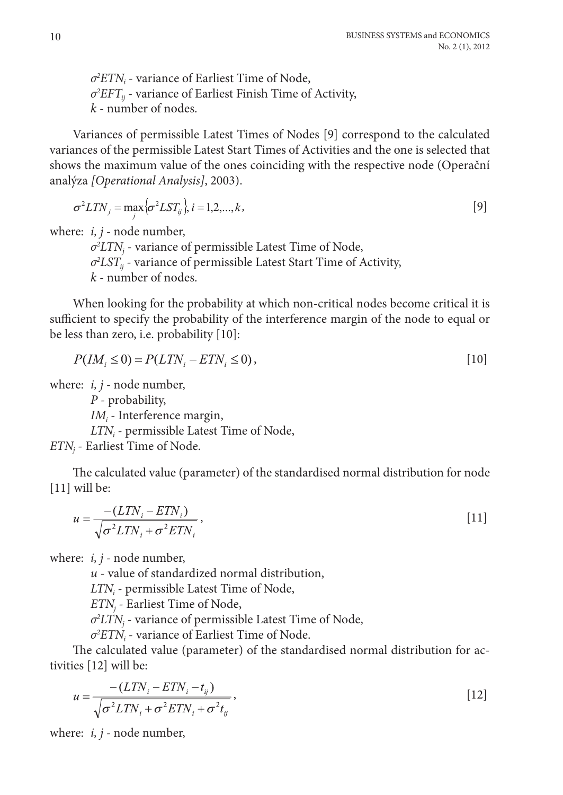*σ2 ETNi* - variance of Earliest Time of Node, *σ2 EFTij* - variance of Earliest Finish Time of Activity, *k* - number of nodes.

Variances of permissible Latest Times of Nodes [9] correspond to the calculated variances of the permissible Latest Start Times of Activities and the one is selected that shows the maximum value of the ones coinciding with the respective node (Operační analýza *[Operational Analysis]*, 2003).

$$
\sigma^2 LTN_j = \max\{\sigma^2 LST_{ij}\}, i = 1, 2, \dots, k,\tag{9}
$$

where: *i, j -* node number,

*σ2 LTNj* - variance of permissible Latest Time of Node, *σ2 LSTij* - variance of permissible Latest Start Time of Activity, *k* - number of nodes.

When looking for the probability at which non-critical nodes become critical it is sufficient to specify the probability of the interference margin of the node to equal or be less than zero, i.e. probability [10]:

$$
P(IMi \le 0) = P(LTNi - ETNi \le 0),
$$
\n[10]

where: *i, j -* node number,

*P* - probability,

*IMi* - Interference margin,

*LTNi* - permissible Latest Time of Node,

*ETNj* - Earliest Time of Node.

The calculated value (parameter) of the standardised normal distribution for node [11] will be:

$$
u = \frac{-\left(LTN_i - ETN_i\right)}{\sqrt{\sigma^2 LTN_i + \sigma^2 ETN_i}},\tag{11}
$$

where: *i, j -* node number,

*u* - value of standardized normal distribution,

*LTNi* - permissible Latest Time of Node,

*ETNj* - Earliest Time of Node,

*σ2 LTNj* - variance of permissible Latest Time of Node,

*σ2 ETNi* - variance of Earliest Time of Node.

The calculated value (parameter) of the standardised normal distribution for activities [12] will be:

$$
u = \frac{-(LTN_i - ETN_i - t_{ij})}{\sqrt{\sigma^2 LTN_i + \sigma^2 ETN_i + \sigma^2 t_{ij}}},
$$
\n[12]

where: *i, j -* node number,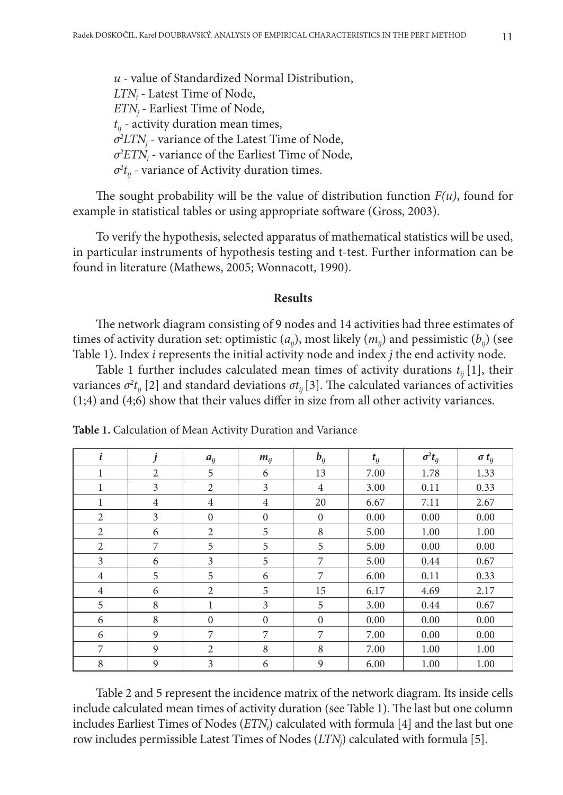*u -* value of Standardized Normal Distribution, *LTNi -* Latest Time of Node, *ETNj -* Earliest Time of Node,  $t_{ii}$  - activity duration mean times, *σ2 LTNj -* variance of the Latest Time of Node, *σ2 ETNi -* variance of the Earliest Time of Node,  $\sigma^2 t_{ij}$  - variance of Activity duration times.

The sought probability will be the value of distribution function  $F(u)$ , found for example in statistical tables or using appropriate software (Gross, 2003).

To verify the hypothesis, selected apparatus of mathematical statistics will be used, in particular instruments of hypothesis testing and t-test. Further information can be found in literature (Mathews, 2005; Wonnacott, 1990).

### **Results**

The network diagram consisting of 9 nodes and 14 activities had three estimates of times of activity duration set: optimistic (*aij*), most likely (*mij*) and pessimistic (*bij*) (see Table 1). Index *i* represents the initial activity node and index *j* the end activity node.

Table 1 further includes calculated mean times of activity durations  $t_{ii}$  [1], their variances  $\sigma^2 t_{ij}$  [2] and standard deviations  $\sigma t_{ij}$  [3]. The calculated variances of activities (1;4) and (4;6) show that their values differ in size from all other activity variances.

| $\boldsymbol{i}$ | İ              | $a_{ii}$       | $m_{ij}$         | $b_{ij}$         | $t_{ij}$ | $\sigma^2 t_{ij}$ | $\sigma t_{ij}$ |
|------------------|----------------|----------------|------------------|------------------|----------|-------------------|-----------------|
| 1                | 2              | 5              | 6                | 13               | 7.00     | 1.78              | 1.33            |
| 1                | 3              | 2              | 3                | $\overline{4}$   | 3.00     | 0.11              | 0.33            |
| $\mathbf{1}$     | $\overline{4}$ | $\overline{4}$ | $\overline{4}$   | 20               | 6.67     | 7.11              | 2.67            |
| $\overline{2}$   | 3              | $\mathbf{0}$   | $\boldsymbol{0}$ | $\boldsymbol{0}$ | 0.00     | 0.00              | 0.00            |
| 2                | 6              | $\overline{2}$ | 5                | 8                | 5.00     | 1.00              | 1.00            |
| 2                | 7              | 5              | 5                | 5                | 5.00     | 0.00              | 0.00            |
| 3                | 6              | 3              | 5                | 7                | 5.00     | 0.44              | 0.67            |
| 4                | 5              | 5              | 6                | 7                | 6.00     | 0.11              | 0.33            |
| $\overline{4}$   | 6              | $\overline{c}$ | 5                | 15               | 6.17     | 4.69              | 2.17            |
| 5                | 8              | 1              | 3                | 5                | 3.00     | 0.44              | 0.67            |
| 6                | 8              | $\Omega$       | $\Omega$         | $\mathbf{0}$     | 0.00     | 0.00              | 0.00            |
| 6                | 9              | 7              | 7                | 7                | 7.00     | 0.00              | 0.00            |
| 7                | 9              | $\overline{2}$ | 8                | 8                | 7.00     | 1.00              | 1.00            |
| 8                | 9              | 3              | 6                | 9                | 6.00     | 1.00              | 1.00            |

**Table 1.** Calculation of Mean Activity Duration and Variance

Table 2 and 5 represent the incidence matrix of the network diagram. Its inside cells include calculated mean times of activity duration (see Table 1). The last but one column includes Earliest Times of Nodes (*ETNi* ) calculated with formula [4] and the last but one row includes permissible Latest Times of Nodes (*LTNj* ) calculated with formula [5].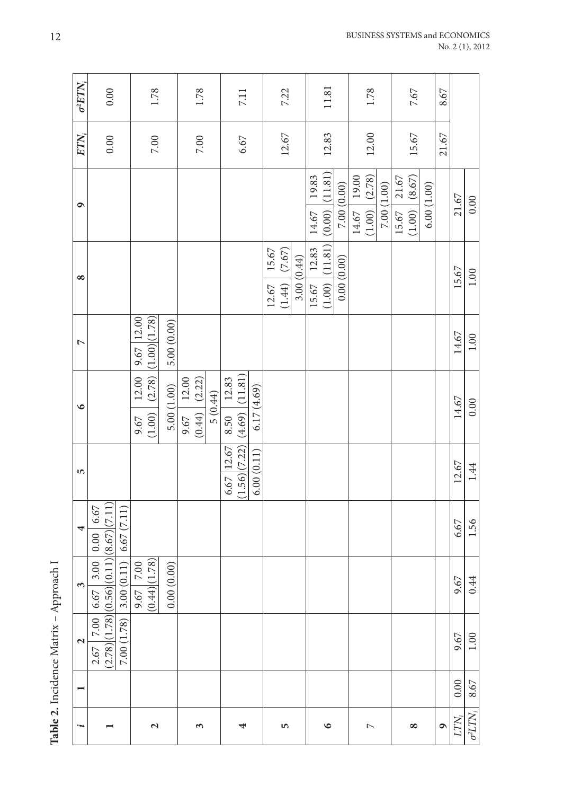| こうこ<br>र<br>१ |
|---------------|
|               |
|               |
|               |
|               |
|               |

|                                        | $\sigma^2 E T N_i$       | 0.00                                                |                         |                | 1.78                                                                                      |            |                                                                  | 1.78     |         |               | 7.11                      |            |       | 7.22                        |            |                | 11.81              |            |               | 1.78              |             |                | 7.67              |            | 8.67      |                  |                    |
|----------------------------------------|--------------------------|-----------------------------------------------------|-------------------------|----------------|-------------------------------------------------------------------------------------------|------------|------------------------------------------------------------------|----------|---------|---------------|---------------------------|------------|-------|-----------------------------|------------|----------------|--------------------|------------|---------------|-------------------|-------------|----------------|-------------------|------------|-----------|------------------|--------------------|
|                                        | $ETN_i$                  | 0.00                                                |                         |                | $7.00\,$                                                                                  |            |                                                                  | $7.00\,$ |         |               | 6.67                      |            |       | 12.67                       |            |                | 12.83              |            |               | 12.00             |             |                | 15.67             |            | 21.67     |                  |                    |
|                                        | ۰                        |                                                     |                         |                |                                                                                           |            |                                                                  |          |         |               |                           |            |       |                             |            | 19.83<br>14.67 | $(0.00)$ $(11.81)$ | 7.00(0.00) | 14.67   19.00 | $(1.00)$ $(2.78)$ | 7.00 (1.00) | 21.67<br>15.67 | $(1.00)$ $(8.67)$ | 6.00(1.00) |           | 21.67            | $0.00\,$           |
|                                        | $\infty$                 |                                                     |                         |                |                                                                                           |            |                                                                  |          |         |               |                           |            | 12.67 | $15.67$<br>(7.67)<br>(1.44) | 3.00(0.44) | 15.67   12.83  | $(1.00)$ $(11.81)$ | 0.00(0.00) |               |                   |             |                |                   |            |           | 15.67            | 1.00               |
|                                        | Z                        |                                                     |                         | $9.67$   12.00 | (1.00)(1.78)                                                                              | 5.00(0.00) |                                                                  |          |         |               |                           |            |       |                             |            |                |                    |            |               |                   |             |                |                   |            |           | 14.67            | 1.00               |
|                                        | $\bullet$                |                                                     |                         |                | $\begin{array}{c c c} 9.67 & 12.00 \\ \hline (1.00) & (2.78) \end{array}$                 | 5.00(1.00) | $\begin{array}{c c} 9.67 & 12.00 \\ (0.44) & (2.22) \end{array}$ |          | 5(0.44) | 12.83<br>8.50 | (1.56)(7.22)(4.69)(11.81) | 6.17(4.69) |       |                             |            |                |                    |            |               |                   |             |                |                   |            |           | 14.67            | 0.00               |
|                                        | 5                        |                                                     |                         |                |                                                                                           |            |                                                                  |          |         | 6.67   12.67  |                           | 6.00(0.11) |       |                             |            |                |                    |            |               |                   |             |                |                   |            |           | 12.67            | 1.44               |
|                                        | 4                        | 0.00   6.67                                         |                         |                |                                                                                           |            |                                                                  |          |         |               |                           |            |       |                             |            |                |                    |            |               |                   |             |                |                   |            |           | 6.67             | 1.56               |
|                                        | 3                        | (2.78)(1.78)(0.56)(0.11)(8.67)(7.11)<br>6.67   3.00 | 3.00(0.11)   6.67(7.11) |                | $\begin{array}{ c c } \hline 9.67 & 7.00 \\ \hline (0.44) & (1.78) \\ \hline \end{array}$ | 0.00(0.00) |                                                                  |          |         |               |                           |            |       |                             |            |                |                    |            |               |                   |             |                |                   |            |           | 9.67             | 0.44               |
| Table 2. Incidence Matrix - Approach I | $\mathbf{z}$             | $\overline{2.00}$<br>2.67                           | 7.00 (1.78)             |                |                                                                                           |            |                                                                  |          |         |               |                           |            |       |                             |            |                |                    |            |               |                   |             |                |                   |            |           | 9.67             | $1.00\,$           |
|                                        | $\overline{\phantom{0}}$ |                                                     |                         |                |                                                                                           |            |                                                                  |          |         |               |                           |            |       |                             |            |                |                    |            |               |                   |             |                |                   |            |           | 0.00             | 8.67               |
|                                        | į                        |                                                     |                         |                | $\mathbf{c}$                                                                              |            |                                                                  | 3        |         |               | 4                         |            |       | 5                           |            |                | $\bullet$          |            |               | $\overline{ }$    |             |                | ∞                 |            | $\bullet$ | LTN <sub>i</sub> | $\sigma^2 L T N_i$ |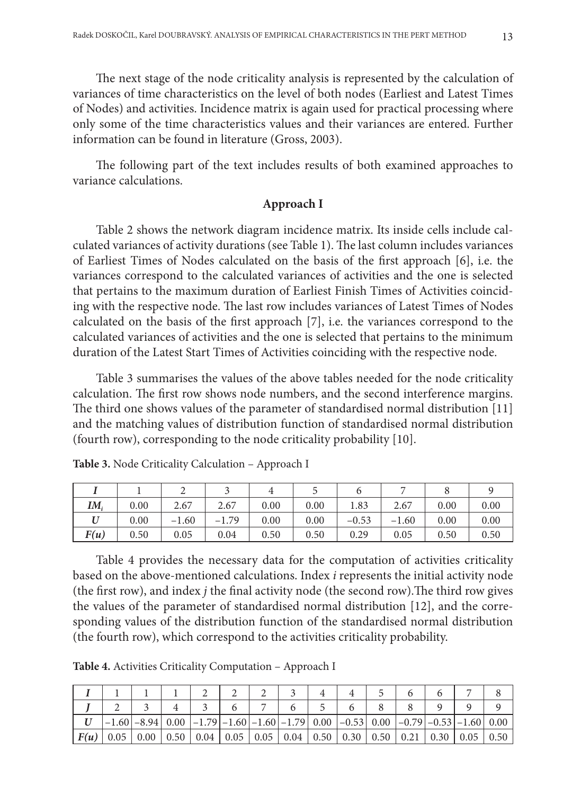The next stage of the node criticality analysis is represented by the calculation of variances of time characteristics on the level of both nodes (Earliest and Latest Times of Nodes) and activities. Incidence matrix is again used for practical processing where only some of the time characteristics values and their variances are entered. Further information can be found in literature (Gross, 2003).

The following part of the text includes results of both examined approaches to variance calculations.

## **Approach I**

Table 2 shows the network diagram incidence matrix. Its inside cells include calculated variances of activity durations (see Table 1). The last column includes variances of Earliest Times of Nodes calculated on the basis of the first approach [6], i.e. the variances correspond to the calculated variances of activities and the one is selected that pertains to the maximum duration of Earliest Finish Times of Activities coinciding with the respective node. The last row includes variances of Latest Times of Nodes calculated on the basis of the first approach [7], i.e. the variances correspond to the calculated variances of activities and the one is selected that pertains to the minimum duration of the Latest Start Times of Activities coinciding with the respective node.

Table 3 summarises the values of the above tables needed for the node criticality calculation. The first row shows node numbers, and the second interference margins. The third one shows values of the parameter of standardised normal distribution [11] and the matching values of distribution function of standardised normal distribution (fourth row), corresponding to the node criticality probability [10].

| $IM_i$ | 0.00 | 2.67    | 2.67    | 0.00 | 0.00 | 1.83    | 2.67    | 0.00 | 0.00 |
|--------|------|---------|---------|------|------|---------|---------|------|------|
|        | 0.00 | $-1.60$ | $-1.79$ | 0.00 | 0.00 | $-0.53$ | $-1.60$ | 0.00 | 0.00 |
| F(u)   | 0.50 | 0.05    | 0.04    | 0.50 | 0.50 | 0.29    | 0.05    | 0.50 | 0.50 |

**Table 3.** Node Criticality Calculation – Approach I

Table 4 provides the necessary data for the computation of activities criticality based on the above-mentioned calculations. Index *i* represents the initial activity node (the first row), and index *j* the final activity node (the second row).The third row gives the values of the parameter of standardised normal distribution [12], and the corresponding values of the distribution function of the standardised normal distribution (the fourth row), which correspond to the activities criticality probability.

**Table 4.** Activities Criticality Computation – Approach I

|      |      |                        |                                                                                        | − |  |                                                                                                                                                 |  |                       |      |
|------|------|------------------------|----------------------------------------------------------------------------------------|---|--|-------------------------------------------------------------------------------------------------------------------------------------------------|--|-----------------------|------|
|      |      | $-1.60$ $-8.94$   0.00 |                                                                                        |   |  | $\left[-1.79\right]$ $-1.60\left[-1.60\right]$ $-1.79\left[$ 0.00 $\left[-0.53\right]$ 0.00 $\left[-0.79\right]$ $-0.53\left[-1.60\right]$ 0.00 |  |                       |      |
| F(u) | 0.05 | 0.00                   | $0.50 \mid 0.04 \mid 0.05 \mid 0.05 \mid 0.04 \mid 0.50 \mid 0.30 \mid 0.50 \mid 0.21$ |   |  |                                                                                                                                                 |  | $0.30 \mid 0.05 \mid$ | 0.50 |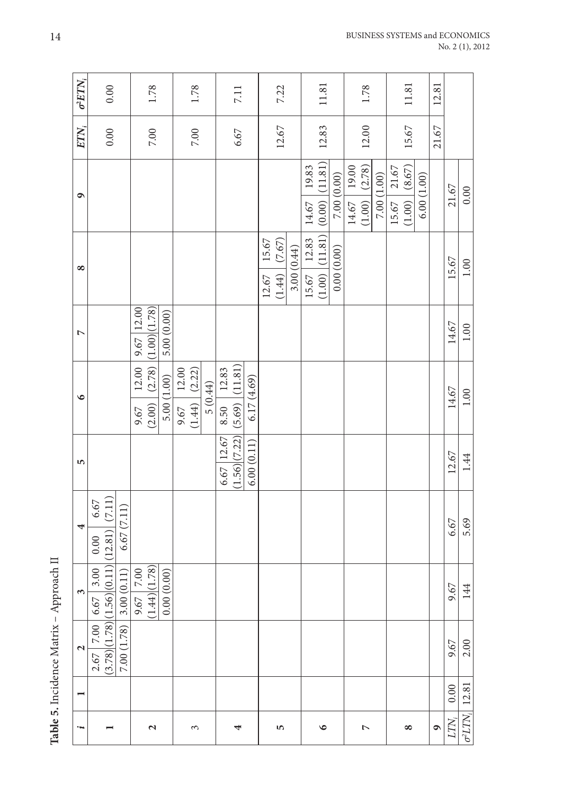Table 5. Incidence Matrix - Approach II **Table 5.** Incidence Matrix – Approach II

| 5<br>4<br>$\epsilon$<br>$\mathbf{\Omega}$                                                                            |  |  |                | $\bullet$                                                                                         | $\overline{a}$ | ∞                  | ٩                  | $ETN_i$  | $\sigma^2 E T N_i$ |
|----------------------------------------------------------------------------------------------------------------------|--|--|----------------|---------------------------------------------------------------------------------------------------|----------------|--------------------|--------------------|----------|--------------------|
| $2.67$ 7.00 6.67 3.00 0.00 6.67<br>(3.78)(1.78)(1.56)(0.11)(12.81) (7.11)<br>6.67(7.11)<br>3.00(0.11)<br>7.00 (1.78) |  |  |                |                                                                                                   |                |                    |                    | 0.00     | 0.00               |
| $\begin{array}{ c c } \hline 9.67 & 7.00 \\ (1.44) & (1.78) \\ \hline \end{array}$                                   |  |  |                | $\begin{array}{c c} 9.67 & 12.00 & 9.67 & 12.00 \\ (2.00) & (2.78) & (1.00) & (1.78) \end{array}$ |                |                    |                    | $7.00\,$ | 1.78               |
| 0.00(0.00)                                                                                                           |  |  |                | 5.00(1.00)                                                                                        | 5.00(0.00)     |                    |                    |          |                    |
|                                                                                                                      |  |  |                | $\begin{array}{c c} 9.67 & 12.00 \\ (1.44) & (2.22) \end{array}$                                  |                |                    |                    |          |                    |
|                                                                                                                      |  |  |                |                                                                                                   |                |                    |                    | $7.00\,$ | 1.78               |
|                                                                                                                      |  |  |                | 5(0.44)                                                                                           |                |                    |                    |          |                    |
|                                                                                                                      |  |  | $6.67$   12.67 | 8.50   12.83                                                                                      |                |                    |                    |          |                    |
|                                                                                                                      |  |  |                | (1.56)(7.22)(5.69)(11.81)                                                                         |                |                    |                    | 6.67     | 7.11               |
|                                                                                                                      |  |  | 6.00(0.11)     | 6.17(4.69)                                                                                        |                |                    |                    |          |                    |
|                                                                                                                      |  |  |                |                                                                                                   |                | 12.67   15.67      |                    |          |                    |
|                                                                                                                      |  |  |                |                                                                                                   |                | $(1.44)$ $(7.67)$  |                    | 12.67    | 7.22               |
|                                                                                                                      |  |  |                |                                                                                                   |                | 3.00(0.44)         |                    |          |                    |
|                                                                                                                      |  |  |                |                                                                                                   |                | 15.67   12.83      | 19.83<br>14.67     |          |                    |
|                                                                                                                      |  |  |                |                                                                                                   |                | $(1.00)$ $(11.81)$ | $(0.00)$ $(11.81)$ | 12.83    | 11.81              |
|                                                                                                                      |  |  |                |                                                                                                   |                | 0.00(0.00)         | 7.00(0.00)         |          |                    |
|                                                                                                                      |  |  |                |                                                                                                   |                |                    | $14.67$ 19.00      |          |                    |
|                                                                                                                      |  |  |                |                                                                                                   |                |                    | $(1.00)$ $(2.78)$  | 12.00    | 1.78               |
|                                                                                                                      |  |  |                |                                                                                                   |                |                    | 7.00 (1.00)        |          |                    |
|                                                                                                                      |  |  |                |                                                                                                   |                |                    | $15.67$ 21.67      |          |                    |
|                                                                                                                      |  |  |                |                                                                                                   |                |                    | $(1.00)$ (8.67)    | 15.67    | $11.81\,$          |
|                                                                                                                      |  |  |                |                                                                                                   |                |                    | 6.00(1.00)         |          |                    |
|                                                                                                                      |  |  |                |                                                                                                   |                |                    |                    | 21.67    | 12.81              |
| 6.67<br>9.67<br>9.67<br>0.00                                                                                         |  |  | 12.67          | 14.67                                                                                             | 14.67          | 15.67              | 21.67              |          |                    |
| 5.69<br>144<br>2.00<br>12.81<br>$\sigma^2 LTN$                                                                       |  |  | 1.44           | $1.00\,$                                                                                          | $1.00\,$       | $1.00\,$           | $0.00\,$           |          |                    |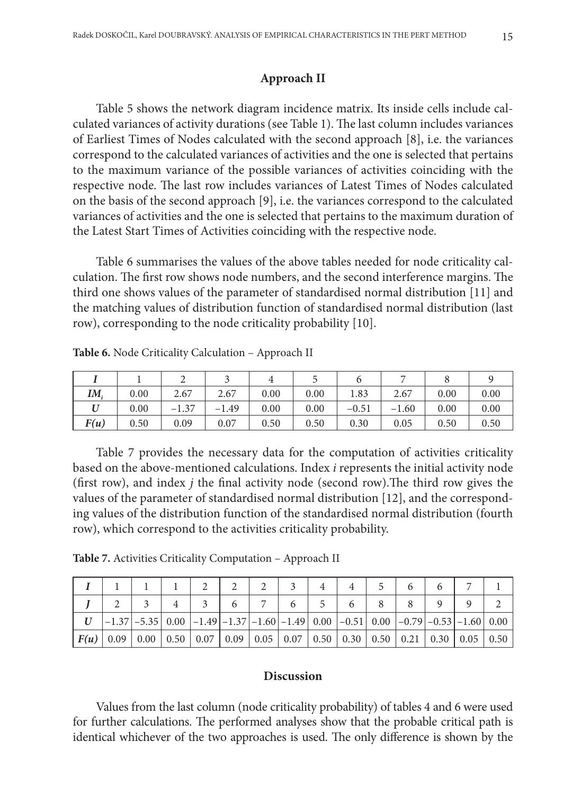## **Approach II**

Table 5 shows the network diagram incidence matrix. Its inside cells include calculated variances of activity durations (see Table 1). The last column includes variances of Earliest Times of Nodes calculated with the second approach [8], i.e. the variances correspond to the calculated variances of activities and the one is selected that pertains to the maximum variance of the possible variances of activities coinciding with the respective node. The last row includes variances of Latest Times of Nodes calculated on the basis of the second approach [9], i.e. the variances correspond to the calculated variances of activities and the one is selected that pertains to the maximum duration of the Latest Start Times of Activities coinciding with the respective node.

Table 6 summarises the values of the above tables needed for node criticality calculation. The first row shows node numbers, and the second interference margins. The third one shows values of the parameter of standardised normal distribution [11] and the matching values of distribution function of standardised normal distribution (last row), corresponding to the node criticality probability [10].

| $IM_{i}$ | 0.00 | 2.67    | 2.67    | 0.00 | 0.00 | 1.83    | 2.67    | 0.00 | 0.00 |
|----------|------|---------|---------|------|------|---------|---------|------|------|
|          | 0.00 | $-1.37$ | $-1.49$ | 0.00 | 0.00 | $-0.51$ | $-1.60$ | 0.00 | 0.00 |
| F(u)     | 0.50 | 0.09    | 0.07    | 0.50 | 0.50 | 0.30    | 0.05    | 0.50 | 0.50 |

**Table 6.** Node Criticality Calculation – Approach II

Table 7 provides the necessary data for the computation of activities criticality based on the above-mentioned calculations. Index *i* represents the initial activity node (first row), and index *j* the final activity node (second row).The third row gives the values of the parameter of standardised normal distribution [12], and the corresponding values of the distribution function of the standardised normal distribution (fourth row), which correspond to the activities criticality probability.

**Table 7.** Activities Criticality Computation – Approach II

|  |  | $\left[-1.37\right]$ $-5.35\right]$ 0.00 $\left[-1.49\right]$ $-1.37\left[-1.60\right]$ $-1.49\right]$ 0.00 $\left[-0.51\right]$ 0.00 $\left[-0.79\right]$ $-0.53\left]-1.60\right]$ 0.00 |  |  |  |  |  |
|--|--|-------------------------------------------------------------------------------------------------------------------------------------------------------------------------------------------|--|--|--|--|--|
|  |  | $\mid$ F(u) $\mid$ 0.09 $\mid$ 0.00 $\mid$ 0.50 $\mid$ 0.07 $\mid$ 0.09 $\mid$ 0.05 $\mid$ 0.07 $\mid$ 0.50 $\mid$ 0.30 $\mid$ 0.50 $\mid$ 0.30 $\mid$ 0.05 $\mid$ 0.50                   |  |  |  |  |  |

### **Discussion**

Values from the last column (node criticality probability) of tables 4 and 6 were used for further calculations. The performed analyses show that the probable critical path is identical whichever of the two approaches is used. The only difference is shown by the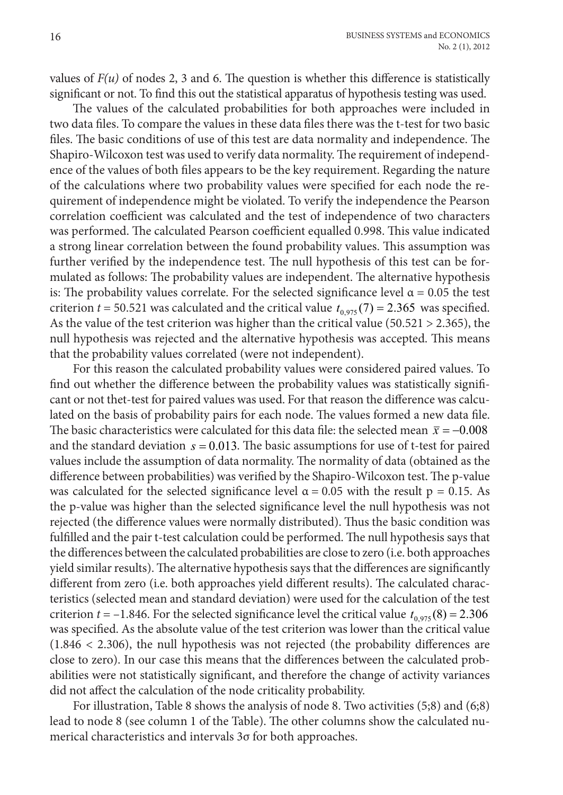values of  $F(u)$  of nodes 2, 3 and 6. The question is whether this difference is statistically significant or not. To find this out the statistical apparatus of hypothesis testing was used.

The values of the calculated probabilities for both approaches were included in two data files. To compare the values in these data files there was the t-test for two basic files. The basic conditions of use of this test are data normality and independence. The Shapiro-Wilcoxon test was used to verify data normality. The requirement of independence of the values of both files appears to be the key requirement. Regarding the nature of the calculations where two probability values were specified for each node the requirement of independence might be violated. To verify the independence the Pearson correlation coefficient was calculated and the test of independence of two characters was performed. The calculated Pearson coefficient equalled 0.998. This value indicated a strong linear correlation between the found probability values. This assumption was further verified by the independence test. The null hypothesis of this test can be formulated as follows: The probability values are independent. The alternative hypothesis is: The probability values correlate. For the selected significance level  $\alpha$  = 0.05 the test criterion  $t = 50.521$  was calculated and the critical value  $t_{0.975}(7) = 2.365$  was specified. As the value of the test criterion was higher than the critical value (50.521  $> 2.365$ ), the null hypothesis was rejected and the alternative hypothesis was accepted. This means that the probability values correlated (were not independent).

For this reason the calculated probability values were considered paired values. To find out whether the difference between the probability values was statistically significant or not thet-test for paired values was used. For that reason the difference was calculated on the basis of probability pairs for each node. The values formed a new data file. The basic characteristics were calculated for this data file: the selected mean  $\bar{x} = -0.008$ and the standard deviation  $s = 0.013$ . The basic assumptions for use of t-test for paired values include the assumption of data normality. The normality of data (obtained as the difference between probabilities) was verified by the Shapiro-Wilcoxon test. The p-value was calculated for the selected significance level  $\alpha = 0.05$  with the result p = 0.15. As the p-value was higher than the selected significance level the null hypothesis was not rejected (the difference values were normally distributed). Thus the basic condition was fulfilled and the pair t-test calculation could be performed. The null hypothesis says that the differences between the calculated probabilities are close to zero (i.e. both approaches yield similar results). The alternative hypothesis says that the differences are significantly different from zero (i.e. both approaches yield different results). The calculated characteristics (selected mean and standard deviation) were used for the calculation of the test criterion  $t = -1.846$ . For the selected significance level the critical value  $t_{0.975} (8) = 2.306$ was specified. As the absolute value of the test criterion was lower than the critical value (1.846 < 2.306), the null hypothesis was not rejected (the probability differences are close to zero). In our case this means that the differences between the calculated probabilities were not statistically significant, and therefore the change of activity variances did not affect the calculation of the node criticality probability.

For illustration, Table 8 shows the analysis of node 8. Two activities (5;8) and (6;8) lead to node 8 (see column 1 of the Table). The other columns show the calculated numerical characteristics and intervals 3σ for both approaches.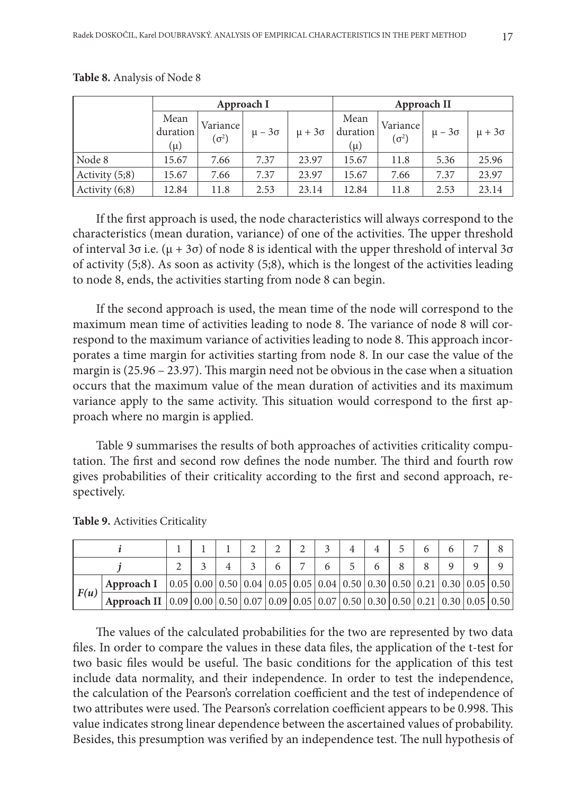|                  |                         | Approach I               |                 |                 |                             | Approach II              |                 |                 |
|------------------|-------------------------|--------------------------|-----------------|-----------------|-----------------------------|--------------------------|-----------------|-----------------|
|                  | Mean<br>duration<br>(μ) | Variance<br>$(\sigma^2)$ | $\mu - 3\sigma$ | $\mu + 3\sigma$ | Mean<br>duration<br>$(\mu)$ | Variance<br>$(\sigma^2)$ | $\mu - 3\sigma$ | $\mu + 3\sigma$ |
| Node 8           | 15.67                   | 7.66                     | 7.37            | 23.97           | 15.67                       | 11.8                     | 5.36            | 25.96           |
| Activity $(5,8)$ | 15.67                   | 7.66                     | 7.37            | 23.97           | 15.67                       | 7.66                     | 7.37            | 23.97           |
| Activity $(6,8)$ | 12.84                   | 11.8                     | 2.53            | 23.14           | 12.84                       | 11.8                     | 2.53            | 23.14           |

**Table 8.** Analysis of Node 8

If the first approach is used, the node characteristics will always correspond to the characteristics (mean duration, variance) of one of the activities. The upper threshold of interval 3σ i.e. (μ + 3σ) of node 8 is identical with the upper threshold of interval 3σ of activity (5;8). As soon as activity (5;8), which is the longest of the activities leading to node 8, ends, the activities starting from node 8 can begin.

If the second approach is used, the mean time of the node will correspond to the maximum mean time of activities leading to node 8. The variance of node 8 will correspond to the maximum variance of activities leading to node 8. This approach incorporates a time margin for activities starting from node 8. In our case the value of the margin is (25.96 – 23.97). This margin need not be obvious in the case when a situation occurs that the maximum value of the mean duration of activities and its maximum variance apply to the same activity. This situation would correspond to the first approach where no margin is applied.

Table 9 summarises the results of both approaches of activities criticality computation. The first and second row defines the node number. The third and fourth row gives probabilities of their criticality according to the first and second approach, respectively.

|      | Approach I                                                                                                                                                                         | $\mid$ 0.05 $\mid$ 0.00 $\mid$ 0.50 $\mid$ 0.04 $\mid$ 0.05 $\mid$ 0.05 $\mid$ 0.04 $\mid$ 0.50 $\mid$ 0.30 $\mid$ 0.50 $\mid$ 0.21 $\mid$ 0.30 $\mid$ 0.05 $\mid$ 0.50 $\mid$ |  |  |  |  |  |  |
|------|------------------------------------------------------------------------------------------------------------------------------------------------------------------------------------|--------------------------------------------------------------------------------------------------------------------------------------------------------------------------------|--|--|--|--|--|--|
| F(u) | Approach II $\vert 0.09 \vert 0.00 \vert 0.50 \vert 0.07 \vert 0.09 \vert 0.05 \vert 0.07 \vert 0.50 \vert 0.50 \vert 0.50 \vert 0.50 \vert 0.21 \vert 0.30 \vert 0.05 \vert 0.50$ |                                                                                                                                                                                |  |  |  |  |  |  |

**Table 9.** Activities Criticality

The values of the calculated probabilities for the two are represented by two data files. In order to compare the values in these data files, the application of the t-test for two basic files would be useful. The basic conditions for the application of this test include data normality, and their independence. In order to test the independence, the calculation of the Pearson's correlation coefficient and the test of independence of two attributes were used. The Pearson's correlation coefficient appears to be 0.998. This value indicates strong linear dependence between the ascertained values of probability. Besides, this presumption was verified by an independence test. The null hypothesis of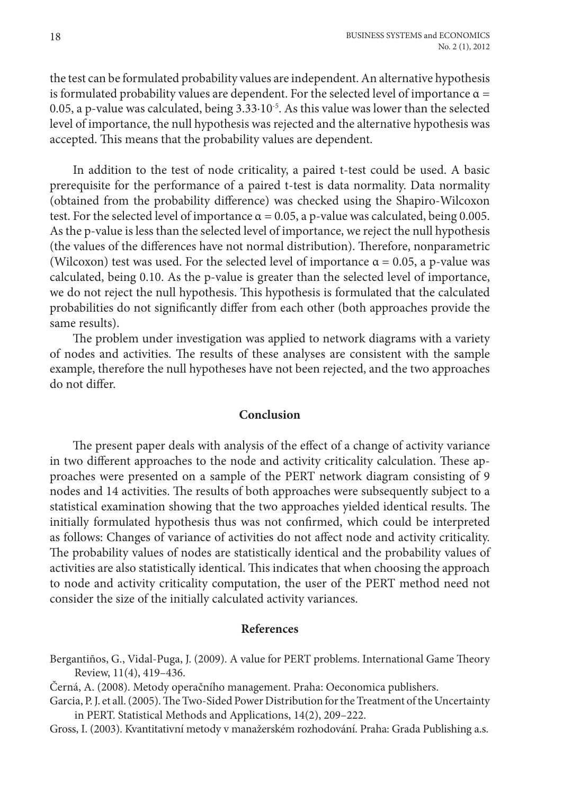the test can be formulated probability values are independent. An alternative hypothesis is formulated probability values are dependent. For the selected level of importance  $\alpha$  = 0.05, a p-value was calculated, being 3.33∙10-5. As this value was lower than the selected level of importance, the null hypothesis was rejected and the alternative hypothesis was accepted. This means that the probability values are dependent.

In addition to the test of node criticality, a paired t-test could be used. A basic prerequisite for the performance of a paired t-test is data normality. Data normality (obtained from the probability difference) was checked using the Shapiro-Wilcoxon test. For the selected level of importance  $\alpha = 0.05$ , a p-value was calculated, being 0.005. As the p-value is less than the selected level of importance, we reject the null hypothesis (the values of the differences have not normal distribution). Therefore, nonparametric (Wilcoxon) test was used. For the selected level of importance  $\alpha = 0.05$ , a p-value was calculated, being 0.10. As the p-value is greater than the selected level of importance, we do not reject the null hypothesis. This hypothesis is formulated that the calculated probabilities do not significantly differ from each other (both approaches provide the same results).

The problem under investigation was applied to network diagrams with a variety of nodes and activities. The results of these analyses are consistent with the sample example, therefore the null hypotheses have not been rejected, and the two approaches do not differ.

### **Conclusion**

The present paper deals with analysis of the effect of a change of activity variance in two different approaches to the node and activity criticality calculation. These approaches were presented on a sample of the PERT network diagram consisting of 9 nodes and 14 activities. The results of both approaches were subsequently subject to a statistical examination showing that the two approaches yielded identical results. The initially formulated hypothesis thus was not confirmed, which could be interpreted as follows: Changes of variance of activities do not affect node and activity criticality. The probability values of nodes are statistically identical and the probability values of activities are also statistically identical. This indicates that when choosing the approach to node and activity criticality computation, the user of the PERT method need not consider the size of the initially calculated activity variances.

### **References**

- Bergantiños, G., Vidal-Puga, J. (2009). A value for PERT problems. International Game Theory Review, 11(4), 419–436.
- Černá, A. (2008). Metody operačního management. Praha: Oeconomica publishers.
- Garcia, P. J. et all. (2005). The Two-Sided Power Distribution for the Treatment of the Uncertainty in PERT. Statistical Methods and Applications, 14(2), 209–222.
- Gross, I. (2003). Kvantitativní metody v manažerském rozhodování. Praha: Grada Publishing a.s.